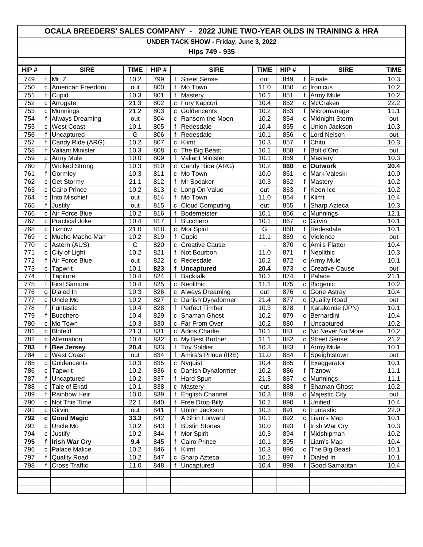## **OCALA BREEDERS' SALES COMPANY - 2022 JUNE TWO-YEAR OLDS IN TRAINING & HRA**

**UNDER TACK SHOW - Friday, June 3, 2022**

**Hips 749 - 935**

| HIP# |              | <b>SIRE</b>             | <b>TIME</b>       | HIP# |              | <b>SIRE</b>             | <b>TIME</b> | HIP# |             | <b>SIRE</b>           | <b>TIME</b> |
|------|--------------|-------------------------|-------------------|------|--------------|-------------------------|-------------|------|-------------|-----------------------|-------------|
| 749  | f            | Mr. Z                   | 10.2              | 799  | f            | <b>Street Sense</b>     | out         | 849  | f           | Finale                | 10.3        |
| 750  | C            | American Freedom        | out               | 800  | $\mathsf f$  | Mo Town                 | 11.0        | 850  | C           | Ironicus              | 10.2        |
| 751  | f            | Cupid                   | 10.3              | 801  | $\mathsf{f}$ | Mastery                 | 10.1        | 851  | f           | Army Mule             | 10.2        |
| 752  | c            | Arrogate                | $\overline{21.3}$ | 802  | C            | <b>Fury Kapcori</b>     | 10.4        | 852  | C           | McCraken              | 22.2        |
| 753  | C            | Munnings                | 21.2              | 803  | C            | Goldencents             | 10.2        | 853  | f           | Micromanage           | 11.1        |
| 754  | f            | <b>Always Dreaming</b>  | out               | 804  | C            | Ransom the Moon         | 10.2        | 854  | C           | Midnight Storm        | out         |
| 755  | C            | <b>West Coast</b>       | 10.1              | 805  | $\mathsf{f}$ | Redesdale               | 10.4        | 855  | C           | Union Jackson         | 10.3        |
| 756  | f            | Uncaptured              | $\overline{G}$    | 806  | f            | Redesdale               | 10.1        | 856  | C           | Lord Nelson           | out         |
| 757  | f            | Candy Ride (ARG)        | 10.2              | 807  | $\mathbf{C}$ | Klimt                   | 10.3        | 857  | $\mathsf f$ | Chitu                 | 10.3        |
| 758  | f            | <b>Valiant Minister</b> | 10.3              | 808  | $\mathbf C$  | The Big Beast           | 10.1        | 858  | f           | Bolt d'Oro            | out         |
| 759  | C            | Army Mule               | 10.0              | 809  | $\mathsf{f}$ | <b>Valiant Minister</b> | 10.1        | 859  | f           | Mastery               | 10.3        |
| 760  | $\mathsf f$  | <b>Wicked Strong</b>    | 10.3              | 810  | $\mathbf{C}$ | Candy Ride (ARG)        | 10.2        | 860  | C           | <b>Outwork</b>        | 20.4        |
| 761  | $\mathsf{f}$ | Gormley                 | 10.3              | 811  | $\mathbf{C}$ | Mo Town                 | 10.0        | 861  | C           | Mark Valeski          | 10.0        |
| 762  | C            | <b>Get Stormy</b>       | 21.1              | 812  | $\mathsf{f}$ | Mr Speaker              | 10.3        | 862  | f           | Mastery               | 10.2        |
| 763  | C            | Cairo Prince            | 10.2              | 813  | C            | Long On Value           | out         | 863  | f           | Keen Ice              | 10.2        |
| 764  | C            | Into Mischief           | out               | 814  | $\mathsf{f}$ | Mo Town                 | 11.0        | 864  | f           | Klimt                 | 10.4        |
| 765  | $\mathsf f$  | Justify                 | out               | 815  | C            | Cloud Computing         | out         | 865  | f           | Sharp Azteca          | 10.3        |
| 766  | C            | Air Force Blue          | 10.2              | 816  | $\mathsf{f}$ | Bodemeister             | 10.1        | 866  | C           | Munnings              | 12.1        |
| 767  | C            | <b>Practical Joke</b>   | 10.4              | 817  | f            | Bucchero                | 10.1        | 867  | C           | Girvin                | 10.1        |
| 768  | C            | <b>Tiznow</b>           | 21.0              | 818  | $\mathbf{C}$ | Mor Spirit              | G           | 868  | f           | Redesdale             | 10.1        |
| 769  | C            | Mucho Macho Man         | 10.2              | 819  | $\mathsf{f}$ | Cupid                   | 11.1        | 869  | C           | Violence              | out         |
| 770  | C            | Astern (AUS)            | G                 | 820  | C            | <b>Creative Cause</b>   | $\omega$    | 870  | C           | Ami's Flatter         | 10.4        |
| 771  | $\mathbf{C}$ | City of Light           | 10.2              | 821  | $\mathsf{f}$ | Not Bourbon             | 11.0        | 871  | f           | Neolithic             | 10.3        |
| 772  | $\mathsf{f}$ | Air Force Blue          | out               | 822  | C            | Redesdale               | 10.2        | 872  | C           | Army Mule             | 10.1        |
| 773  | C            | Tapwrit                 | 10.1              | 823  | f            | <b>Uncaptured</b>       | 20.4        | 873  | C           | <b>Creative Cause</b> | out         |
| 774  | f            | Tapiture                | 10.4              | 824  | f            | <b>Backtalk</b>         | 10.1        | 874  | f           | Palace                | 21.1        |
| 775  | f            | First Samurai           | 10.4              | 825  | $\mathbf{C}$ | Neolithic               | 11.1        | 875  | C           | Biogenic              | 10.2        |
| 776  | g            | Dialed In               | 10.3              | 826  | $\mathbf{C}$ | <b>Always Dreaming</b>  | out         | 876  | C           | Gone Astray           | 10.4        |
| 777  | C            | Uncle Mo                | 10.2              | 827  | $\mathbf{C}$ | Danish Dynaformer       | 21.4        | 877  | C           | <b>Quality Road</b>   | out         |
| 778  | f            | Funtastic               | 10.4              | 828  | f            | Perfect Timber          | 10.3        | 878  | f           | Karakontie (JPN)      | 10.1        |
| 779  | f            | Bucchero                | 10.4              | 829  | $\mathbf c$  | Shaman Ghost            | 10.2        | 879  | C           | Bernardini            | 10.4        |
| 780  | $\mathbf{C}$ | Mo Town                 | 10.3              | 830  | $\mathbf{C}$ | Far From Over           | 10.2        | 880  | $\mathsf f$ | Uncaptured            | 10.2        |
| 781  | $\mathbf{C}$ | <b>Blofeld</b>          | 21.3              | 831  | C            | <b>Adios Charlie</b>    | 10.1        | 881  | C           | No Never No More      | 10.2        |
| 782  | C            | Alternation             | 10.4              | 832  | C            | My Best Brother         | 11.1        | 882  | C           | <b>Street Sense</b>   | 21.2        |
| 783  | f            | <b>Bee Jersey</b>       | 20.4              | 833  | $\mathsf{f}$ | <b>Toy Soldier</b>      | 10.3        | 883  | f           | <b>Army Mule</b>      | 10.1        |
| 784  | C            | <b>West Coast</b>       | out               | 834  | $\mathsf{f}$ | Amira's Prince (IRE)    | 11.0        | 884  | f           | Speightstown          | out         |
| 785  | C            | Goldencents             | 10.3              | 835  | $\mathbf{C}$ | Nyquist                 | 10.4        | 885  | f           | Exaggerator           | 10.1        |
| 786  | $\mathbf{C}$ | Tapwrit                 | 10.2              | 836  | $\mathbf{C}$ | Danish Dynaformer       | 10.2        | 886  | f           | Tiznow                | 11.1        |
| 787  |              | f Uncaptured            | 10.2              | 837  |              | f Hard Spun             | 21.3        | 887  |             | c Munnings            | 11.1        |
| 788  | $\mathbf{C}$ | Tale of Ekati           | 10.1              | 838  |              | c Mastery               | out         | 888  | f           | Shaman Ghost          | 10.2        |
| 789  | f            | Rainbow Heir            | 10.0              | 839  | f            | <b>English Channel</b>  | 10.3        | 889  | С           | Majestic City         | out         |
| 790  | $\mathbf{C}$ | Not This Time           | 22.1              | 840  | f            | <b>Free Drop Billy</b>  | 10.2        | 890  | $\mathsf f$ | Unified               | 10.4        |
| 791  | C            | Girvin                  | out               | 841  | f            | Union Jackson           | 10.3        | 891  | C           | Funtastic             | 22.0        |
| 792  | c            | <b>Good Magic</b>       | 33.3              | 842  | f            | A Shin Forward          | 10.1        | 892  | C           | Liam's Map            | 10.1        |
| 793  | C            | Uncle Mo                | 10.2              | 843  | f            | <b>Bustin Stones</b>    | 10.0        | 893  | f           | Irish War Cry         | 10.3        |
| 794  | С            | Justify                 | 10.2              | 844  | f            | Mor Spirit              | 10.3        | 894  | f           | Midshipman            | 10.2        |
| 795  | f            | <b>Irish War Cry</b>    | 9.4               | 845  | f            | Cairo Prince            | 10.1        | 895  | f           | Liam's Map            | 10.4        |
| 796  | с            | Palace Malice           | 10.2              | 846  | f            | Klimt                   | 10.3        | 896  | С           | The Big Beast         | 10.1        |
| 797  | f            | <b>Quality Road</b>     | 10.2              | 847  | C            | Sharp Azteca            | 10.2        | 897  | f           | Dialed In             | 10.1        |
| 798  | f            | <b>Cross Traffic</b>    | 11.0              | 848  | f            | Uncaptured              | 10.4        | 898  | f           | Good Samaritan        | 10.4        |
|      |              |                         |                   |      |              |                         |             |      |             |                       |             |
|      |              |                         |                   |      |              |                         |             |      |             |                       |             |
|      |              |                         |                   |      |              |                         |             |      |             |                       |             |
|      |              |                         |                   |      |              |                         |             |      |             |                       |             |